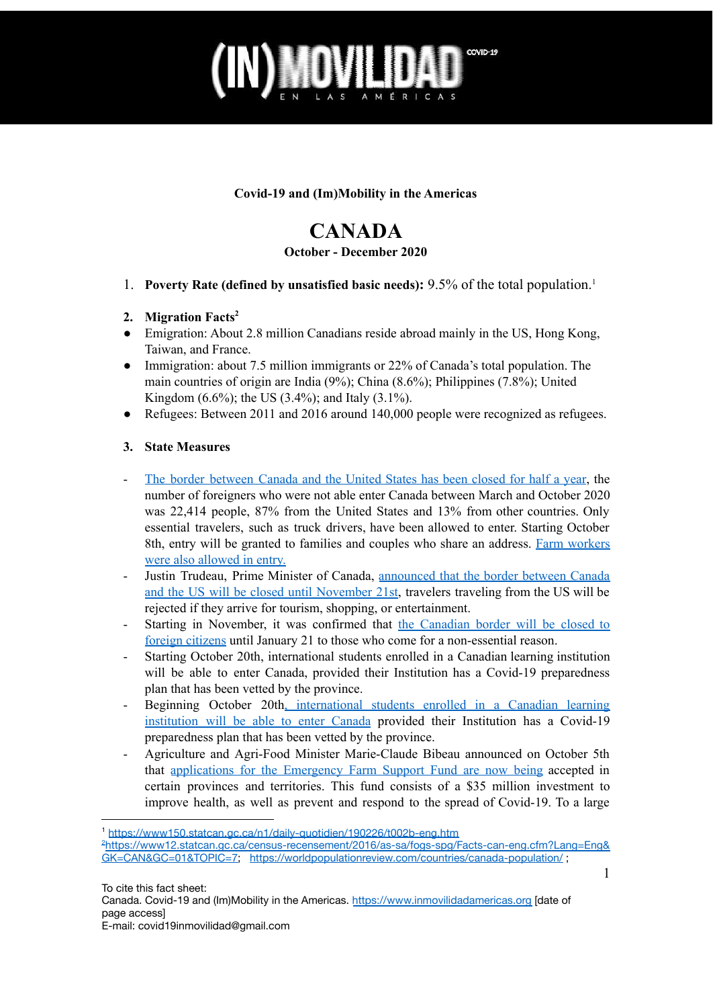### COVID-19 MOVIDA

### **Covid-19 and (Im)Mobility in the Americas**

### **CANADA**

### **October - December 2020**

- 1. **Poverty Rate (defined by unsatisfied basic needs):** 9.5% of the total population.<sup>1</sup>
- **2. Migration Facts 2**
- Emigration: About 2.8 million Canadians reside abroad mainly in the US, Hong Kong, Taiwan, and France.
- Immigration: about 7.5 million immigrants or 22% of Canada's total population. The main countries of origin are India (9%); China (8.6%); Philippines (7.8%); United Kingdom (6.6%); the US (3.4%); and Italy (3.1%).
- Refugees: Between 2011 and 2016 around 140,000 people were recognized as refugees.

### **3. State Measures**

- The border [between](https://www.ctvnews.ca/health/coronavirus/more-than-3-400-americans-rejected-from-entering-canada-last-month-for-shopping-sightseeing-1.5138625) Canada and the United States has been closed for half a year, the number of foreigners who were not able enter Canada between March and October 2020 was 22,414 people, 87% from the United States and 13% from other countries. Only essential travelers, such as truck drivers, have been allowed to enter. Starting October 8th, entry will be granted to families and couples who share an address. Farm [workers](https://www.thestar.com/news/canada/2021/03/03/canada-kept-doors-open-to-temporary-foreign-workers-during-2020s-pandemic-lockdown-new-numbers-reveal.html) were also [allowed](https://www.thestar.com/news/canada/2021/03/03/canada-kept-doors-open-to-temporary-foreign-workers-during-2020s-pandemic-lockdown-new-numbers-reveal.html) in entry.
- Justin Trudeau, Prime Minister of Canada, [announced](https://www.cicnews.com/2020/10/canada-u-s-border-closure-extended-for-seventh-time-1016088.html#gs.sg1frs) that the border between Canada and the US will be closed until [November](https://www.cicnews.com/2020/10/canada-u-s-border-closure-extended-for-seventh-time-1016088.html#gs.sg1frs) 21st, travelers traveling from the US will be rejected if they arrive for tourism, shopping, or entertainment.
- Starting in November, it was confirmed that the [Canadian](https://www.cicnews.com/2020/11/canada-extends-travel-restrictions-into-the-new-year-1116402.html#gs.t69h30) border will be closed to foreign [citizens](https://www.cicnews.com/2020/11/canada-extends-travel-restrictions-into-the-new-year-1116402.html#gs.t69h30) until January 21 to those who come for a non-essential reason.
- Starting October 20th, international students enrolled in a Canadian learning institution will be able to enter Canada, provided their Institution has a Covid-19 preparedness plan that has been vetted by the province.
- Beginning October 20th, [international](https://www.cicnews.com/2020/10/students-and-families-allowed-to-travel-to-canada-1015971.html#gs.sfwgn7) students enrolled in a Canadian learning [institution](https://www.cicnews.com/2020/10/students-and-families-allowed-to-travel-to-canada-1015971.html#gs.sfwgn7) will be able to enter Canada provided their Institution has a Covid-19 preparedness plan that has been vetted by the province.
- Agriculture and Agri-Food Minister Marie-Claude Bibeau announced on October 5th that [applications](http://newswire.ca/news-releases/protecting-the-health-and-safety-of-farm-workers-during-covid-19-828877315.html) for the Emergency Farm Support Fund are now being accepted in certain provinces and territories. This fund consists of a \$35 million investment to improve health, as well as prevent and respond to the spread of Covid-19. To a large

<sup>2</sup>[https://www12.statcan.gc.ca/census-recensement/2016/as-sa/fogs-spg/Facts-can-eng.cfm?Lang=Eng&](https://www12.statcan.gc.ca/census-recensement/2016/as-sa/fogs-spg/Facts-can-eng.cfm?Lang=Eng&GK=CAN&GC=01&TOPIC=7) [GK=CAN&GC=01&TOPIC=7;](https://www12.statcan.gc.ca/census-recensement/2016/as-sa/fogs-spg/Facts-can-eng.cfm?Lang=Eng&GK=CAN&GC=01&TOPIC=7) <https://worldpopulationreview.com/countries/canada-population/>; <sup>1</sup> <https://www150.statcan.gc.ca/n1/daily-quotidien/190226/t002b-eng.htm>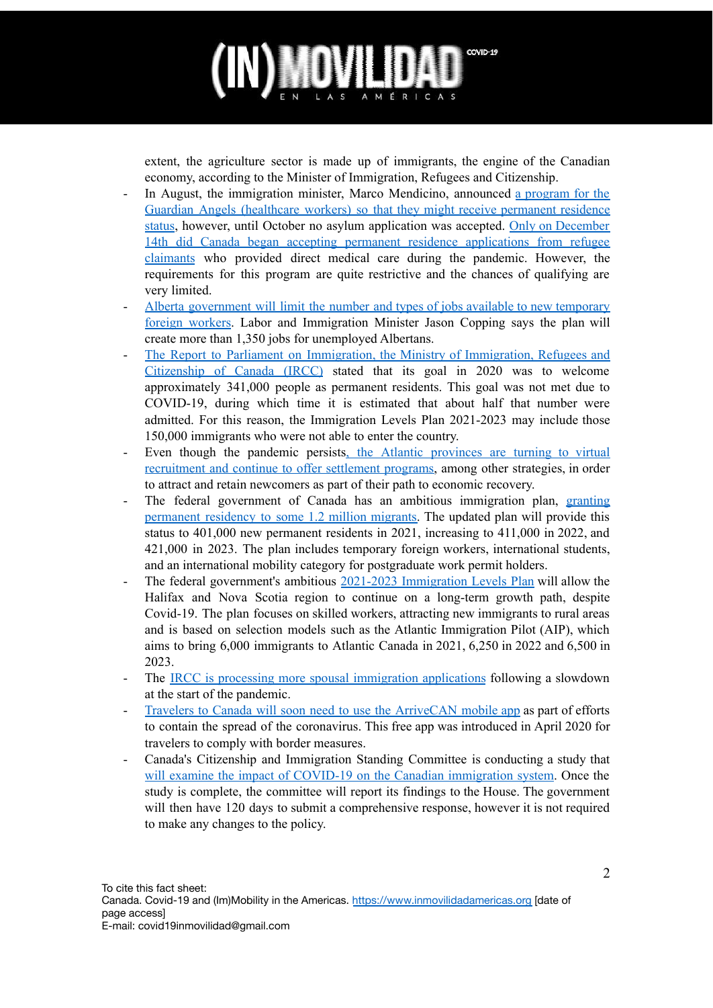### **OVIL** COVID-19

extent, the agriculture sector is made up of immigrants, the engine of the Canadian economy, according to the Minister of Immigration, Refugees and Citizenship.

- In August, the immigration minister, Marco Mendicino, announced a [program](https://www.cicnews.com/2020/12/canada-launching-immigration-programs-for-refugees-working-in-healthcare-1216502.html#gs.uzgg76) for the Guardian Angels [\(healthcare](https://www.cicnews.com/2020/12/canada-launching-immigration-programs-for-refugees-working-in-healthcare-1216502.html#gs.uzgg76) workers) so that they might receive permanent residence [status](https://www.cicnews.com/2020/12/canada-launching-immigration-programs-for-refugees-working-in-healthcare-1216502.html#gs.uzgg76), however, until October no asylum application was accepted. Only on [December](https://www.cicnews.com/2020/12/canada-launching-immigration-programs-for-refugees-working-in-healthcare-1216502.html#gs.uzgg76) 14th did Canada began accepting permanent residence [applications](https://www.cicnews.com/2020/12/canada-launching-immigration-programs-for-refugees-working-in-healthcare-1216502.html#gs.uzgg76) from refugee [claimants](https://www.cicnews.com/2020/12/canada-launching-immigration-programs-for-refugees-working-in-healthcare-1216502.html#gs.uzgg76) who provided direct medical care during the pandemic. However, the requirements for this program are quite restrictive and the chances of qualifying are very limited.
- Alberta [government](https://www.cbc.ca/news/canada/calgary/employment-jobs-immigration-streams-copping-1.5777248) will limit the number and types of jobs available to new temporary foreign [workers](https://www.cbc.ca/news/canada/calgary/employment-jobs-immigration-streams-copping-1.5777248). Labor and Immigration Minister Jason Copping says the plan will create more than 1,350 jobs for unemployed Albertans.
- The Report to Parliament on [Immigration,](https://canadianimmigrant.ca/immigrate/immigration-law/canadas-planned-immigration-levels-for-the-future) the Ministry of Immigration, Refugees and [Citizenship](https://canadianimmigrant.ca/immigrate/immigration-law/canadas-planned-immigration-levels-for-the-future) of Canada (IRCC) stated that its goal in 2020 was to welcome approximately 341,000 people as permanent residents. This goal was not met due to COVID-19, during which time it is estimated that about half that number were admitted. For this reason, the Immigration Levels Plan 2021-2023 may include those 150,000 immigrants who were not able to enter the country.
- Even though the pandemic persists, the Atlantic [provinces](https://www.thechronicleherald.ca/news/local/immigration-a-key-priority-in-atlantic-canadas-economic-recovery-from-covid-19-panel-514993/) are turning to virtual [recruitment](https://www.thechronicleherald.ca/news/local/immigration-a-key-priority-in-atlantic-canadas-economic-recovery-from-covid-19-panel-514993/) and continue to offer settlement programs, among other strategies, in order to attract and retain newcomers as part of their path to economic recovery.
- The federal government of Canada has an ambitious immigration plan, [granting](https://www.nationalobserver.com/2020/11/02/news/canada-immigration-targets-covid-19-shortfall-critics) [permanent](https://www.nationalobserver.com/2020/11/02/news/canada-immigration-targets-covid-19-shortfall-critics) residency to some 1.2 million migrants. The updated plan will provide this status to 401,000 new permanent residents in 2021, increasing to 411,000 in 2022, and 421,000 in 2023. The plan includes temporary foreign workers, international students, and an international mobility category for postgraduate work permit holders.
- The federal government's ambitious 2021-2023 [Immigration](https://www.thechronicleherald.ca/news/local/feds-immigration-levels-plan-will-help-halifax-nova-scotia-continue-on-long-term-path-of-growth-economist-516188/) Levels Plan will allow the Halifax and Nova Scotia region to continue on a long-term growth path, despite Covid-19. The plan focuses on skilled workers, attracting new immigrants to rural areas and is based on selection models such as the Atlantic Immigration Pilot (AIP), which aims to bring 6,000 immigrants to Atlantic Canada in 2021, 6,250 in 2022 and 6,500 in 2023.
- The IRCC is processing more spousal [immigration](https://www.cicnews.com/2020/11/canada-is-processing-more-spousal-immigration-applications-1116330.html#gs.t6dswg) applications following a slowdown at the start of the pandemic.
- Travelers to Canada will soon need to use the [ArriveCAN](https://www.thechronicleherald.ca/news/local/feds-immigration-levels-plan-will-help-halifax-nova-scotia-continue-on-long-term-path-of-growth-economist-516188/) mobile app as part of efforts to contain the spread of the coronavirus. This free app was introduced in April 2020 for travelers to comply with border measures.
- Canada's Citizenship and Immigration Standing Committee is conducting a study that will examine the impact of COVID-19 on the Canadian [immigration](https://www.cicnews.com/2020/11/immigration-committee-study-highlighting-coronavirus-impact-on-canadian-immigrants-1116164.html#gs.t6djbm) system. Once the study is complete, the committee will report its findings to the House. The government will then have 120 days to submit a comprehensive response, however it is not required to make any changes to the policy.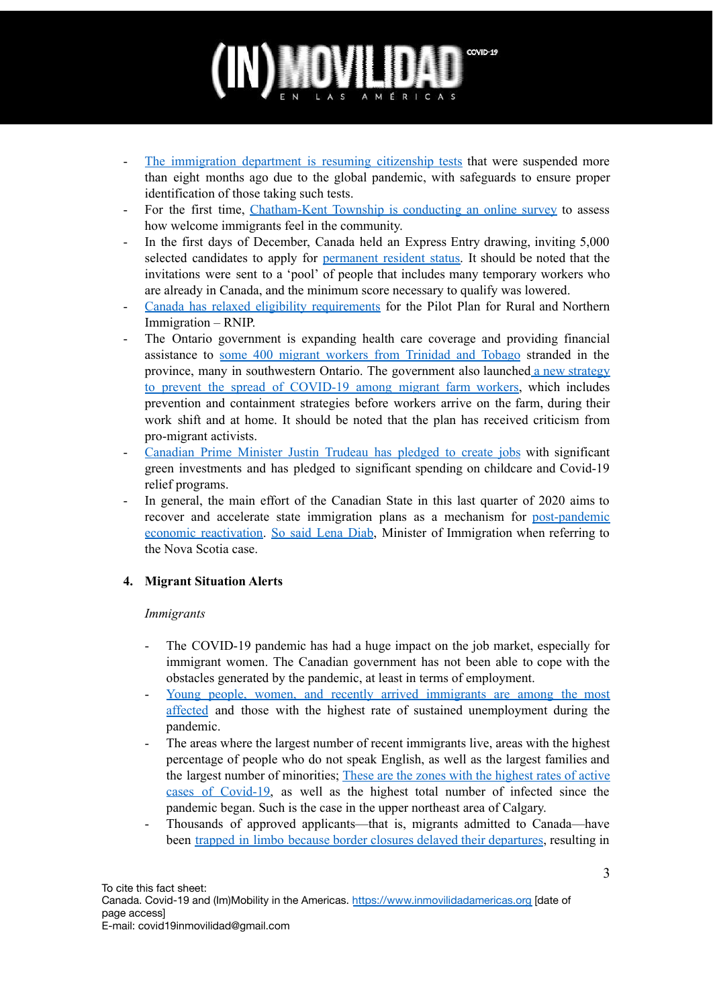# COVID-19

- The [immigration](https://www.cbc.ca/news/politics/citizenship-tests-immigration-pandemic-covid19-1.5815945) department is resuming citizenship tests that were suspended more than eight months ago due to the global pandemic, with safeguards to ensure proper identification of those taking such tests.
- For the first time, [Chatham-Kent](https://www.cbc.ca/news/canada/windsor/chatham-kent-immigration-survey-1.5828139) Township is conducting an online survey to assess how welcome immigrants feel in the community.
- In the first days of December, Canada held an Express Entry drawing, inviting 5,000 selected candidates to apply for [permanent](https://www.cicnews.com/2020/12/health-canada-approves-pfizer-biontech-coronavirus-vaccine-1216504.html#gs.uzel0w) resident status. It should be noted that the invitations were sent to a 'pool' of people that includes many temporary workers who are already in Canada, and the minimum score necessary to qualify was lowered.
- Canada has relaxed eligibility [requirements](https://www.cicnews.com/2020/12/canada-eases-eligibility-requirements-for-rural-and-northern-immigration-pilot-1216554.html#gs.x1qued) for the Pilot Plan for Rural and Northern Immigration – RNIP.
- The Ontario government is expanding health care coverage and providing financial assistance to some 400 migrant workers from [Trinidad](https://www.thestar.com/news/canada/2020/12/16/exiled-in-canada-400-migrant-workers-unable-to-return-home.html) and Tobago stranded in the province, many in southwestern Ontario. The government also launched a new [strategy](https://www.cbc.ca/news/canada/windsor/agriculture-sector-windsor-ontario-1.5803579) to prevent the spread of [COVID-19](https://www.cbc.ca/news/canada/windsor/agriculture-sector-windsor-ontario-1.5803579) among migrant farm workers, which includes prevention and containment strategies before workers arrive on the farm, during their work shift and at home. It should be noted that the plan has received criticism from pro-migrant activists.
- [Canadian](https://www.reuters.com/article/canada-cenbank/post-pandemic-canada-must-set-sights-higher-to-boost-growth-bocs-wilkins-idINKBN27S2WX) Prime Minister Justin Trudeau has pledged to create jobs with significant green investments and has pledged to significant spending on childcare and Covid-19 relief programs.
- In general, the main effort of the Canadian State in this last quarter of 2020 aims to recover and accelerate state immigration plans as a mechanism for [post-pandemic](https://www.cbc.ca/news/canada/nova-scotia/nova-scotia-record-number-newcomers-2020-population-1.5856381) economic [reactivation.](https://www.cbc.ca/news/canada/nova-scotia/nova-scotia-record-number-newcomers-2020-population-1.5856381) So said [Lena](https://www.cbc.ca/news/canada/nova-scotia/nova-scotia-record-number-newcomers-2020-population-1.5856381) Diab, Minister of Immigration when referring to the Nova Scotia case.

### **4. Migrant Situation Alerts**

### *Immigrants*

- The COVID-19 pandemic has had a huge impact on the job market, especially for immigrant women. The Canadian government has not been able to cope with the obstacles generated by the pandemic, at least in terms of employment.
- Young people, women, and recently arrived [immigrants](https://www.reuters.com/article/canada-cenbank/post-pandemic-canada-must-set-sights-higher-to-boost-growth-bocs-wilkins-idINKBN27S2WX) are among the most [affected](https://www.reuters.com/article/canada-cenbank/post-pandemic-canada-must-set-sights-higher-to-boost-growth-bocs-wilkins-idINKBN27S2WX) and those with the highest rate of sustained unemployment during the pandemic.
- The areas where the largest number of recent immigrants live, areas with the highest percentage of people who do not speak English, as well as the largest families and the largest number of minorities; These are the zones with the [highest](https://www.theglobeandmail.com/canada/alberta/article-albertas-worst-covid-19-rates-are-in-racialized-communities-data/) rates of active cases of [Covid-19,](https://www.theglobeandmail.com/canada/alberta/article-albertas-worst-covid-19-rates-are-in-racialized-communities-data/) as well as the highest total number of infected since the pandemic began. Such is the case in the upper northeast area of Calgary.
- Thousands of approved applicants—that is, migrants admitted to Canada—have been trapped in limbo because border closures delayed their [departures](https://www.cbc.ca/news/politics/immigration-permanent-residents-expired-mendicino-1.5842984), resulting in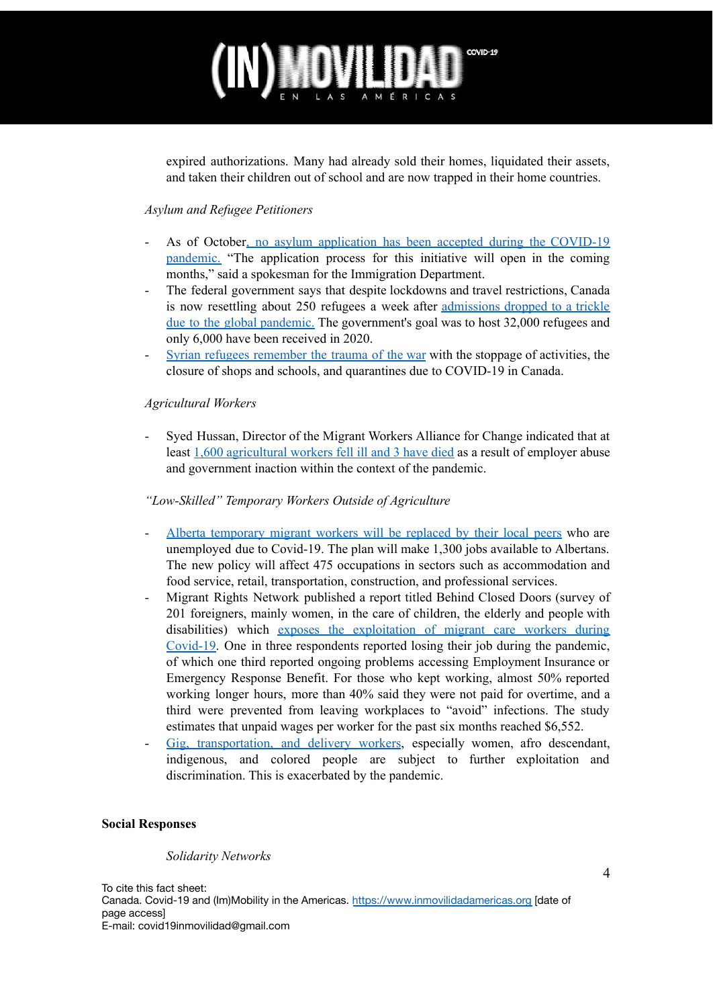## COVID-19

expired authorizations. Many had already sold their homes, liquidated their assets, and taken their children out of school and are now trapped in their home countries.

### *Asylum and Refugee Petitioners*

- As of October, no asylum application has been accepted during the COVID-19 pandemic. "The application process for this initiative will open in the coming months," said a spokesman for the Immigration Department.
- The federal government says that despite lockdowns and travel restrictions, Canada is now resettling about 250 refugees a week after [admissions](https://www.cbc.ca/news/politics/refugees-canada-pandemic-mendicino-1.5797361) dropped to a trickle due to the global [pandemic.](https://www.cbc.ca/news/politics/refugees-canada-pandemic-mendicino-1.5797361) The government's goal was to host 32,000 refugees and only 6,000 have been received in 2020.
- Syrian refugees [remember](https://www.theprogress.com/news/syrian-refugees-overcoming-war-memories-brought-back-by-covid-19/) the trauma of the war with the stoppage of activities, the closure of shops and schools, and quarantines due to COVID-19 in Canada.

### *Agricultural Workers*

- Syed Hussan, Director of the Migrant Workers Alliance for Change indicated that at least 1,600 [agricultural](https://www.cbc.ca/news/canada/windsor/agriculture-sector-windsor-ontario-1.5803579) workers fell ill and 3 have died as a result of employer abuse and government inaction within the context of the pandemic.

### *"Low-Skilled" Temporary Workers Outside of Agriculture*

- Alberta [temporary](https://www.cbc.ca/news/canada/calgary/employment-jobs-immigration-streams-copping-1.5777248) migrant workers will be replaced by their local peers who are unemployed due to Covid-19. The plan will make 1,300 jobs available to Albertans. The new policy will affect 475 occupations in sectors such as accommodation and food service, retail, transportation, construction, and professional services.
- Migrant Rights Network published a report titled Behind Closed Doors (survey of 201 foreigners, mainly women, in the care of children, the elderly and people with disabilities) which exposes the [exploitation](https://www.cbc.ca/news/canada/report-migrant-care-workers-exploitation-pandemic-1.5779915) of migrant care workers during [Covid-19.](https://www.cbc.ca/news/canada/report-migrant-care-workers-exploitation-pandemic-1.5779915) One in three respondents reported losing their job during the pandemic, of which one third reported ongoing problems accessing Employment Insurance or Emergency Response Benefit. For those who kept working, almost 50% reported working longer hours, more than 40% said they were not paid for overtime, and a third were prevented from leaving workplaces to "avoid" infections. The study estimates that unpaid wages per worker for the past six months reached \$6,552.
- Gig, [transportation,](https://www.ctvnews.ca/business/lower-tips-poor-ratings-gig-economy-workers-face-racism-and-sexism-on-the-job-1.5231741) and delivery workers, especially women, afro descendant, indigenous, and colored people are subject to further exploitation and discrimination. This is exacerbated by the pandemic.

#### **Social Responses**

#### *Solidarity Networks*